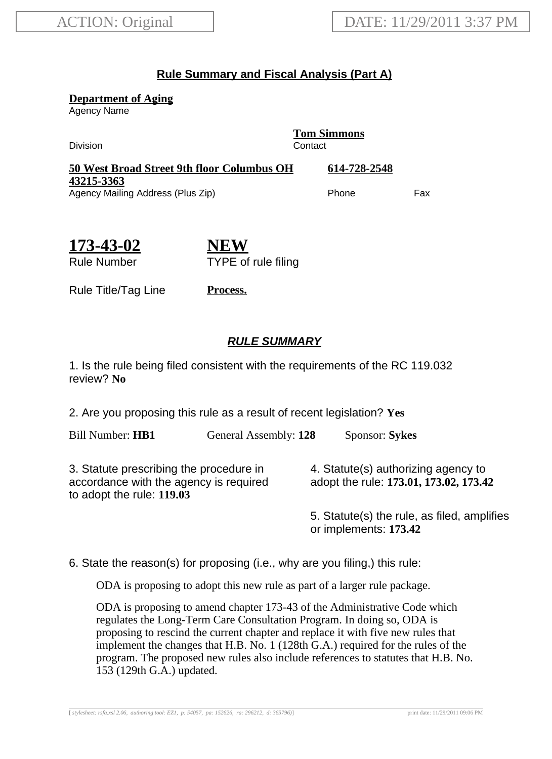## **Rule Summary and Fiscal Analysis (Part A)**

**Department of Aging**

Agency Name

Division Contact

**Tom Simmons**

| <b>50 West Broad Street 9th floor Columbus OH</b> | 614-728-2548 |     |
|---------------------------------------------------|--------------|-----|
| 43215-3363                                        |              |     |
| Agency Mailing Address (Plus Zip)                 | <b>Phone</b> | Fax |

**173-43-02** Rule Number

**NEW** TYPE of rule filing

Rule Title/Tag Line **Process.**

## **RULE SUMMARY**

1. Is the rule being filed consistent with the requirements of the RC 119.032 review? **No**

2. Are you proposing this rule as a result of recent legislation? **Yes**

Bill Number: **HB1** General Assembly: **128** Sponsor: **Sykes**

3. Statute prescribing the procedure in accordance with the agency is required to adopt the rule: **119.03**

4. Statute(s) authorizing agency to adopt the rule: **173.01, 173.02, 173.42**

5. Statute(s) the rule, as filed, amplifies or implements: **173.42**

6. State the reason(s) for proposing (i.e., why are you filing,) this rule:

ODA is proposing to adopt this new rule as part of a larger rule package.

ODA is proposing to amend chapter 173-43 of the Administrative Code which regulates the Long-Term Care Consultation Program. In doing so, ODA is proposing to rescind the current chapter and replace it with five new rules that implement the changes that H.B. No. 1 (128th G.A.) required for the rules of the program. The proposed new rules also include references to statutes that H.B. No. 153 (129th G.A.) updated.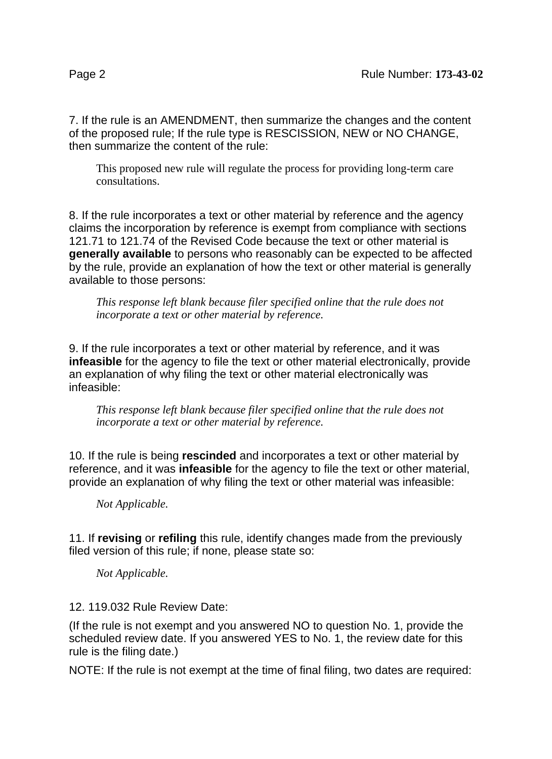7. If the rule is an AMENDMENT, then summarize the changes and the content of the proposed rule; If the rule type is RESCISSION, NEW or NO CHANGE, then summarize the content of the rule:

This proposed new rule will regulate the process for providing long-term care consultations.

8. If the rule incorporates a text or other material by reference and the agency claims the incorporation by reference is exempt from compliance with sections 121.71 to 121.74 of the Revised Code because the text or other material is **generally available** to persons who reasonably can be expected to be affected by the rule, provide an explanation of how the text or other material is generally available to those persons:

*This response left blank because filer specified online that the rule does not incorporate a text or other material by reference.*

9. If the rule incorporates a text or other material by reference, and it was **infeasible** for the agency to file the text or other material electronically, provide an explanation of why filing the text or other material electronically was infeasible:

*This response left blank because filer specified online that the rule does not incorporate a text or other material by reference.*

10. If the rule is being **rescinded** and incorporates a text or other material by reference, and it was **infeasible** for the agency to file the text or other material, provide an explanation of why filing the text or other material was infeasible:

*Not Applicable.*

11. If **revising** or **refiling** this rule, identify changes made from the previously filed version of this rule; if none, please state so:

*Not Applicable.*

12. 119.032 Rule Review Date:

(If the rule is not exempt and you answered NO to question No. 1, provide the scheduled review date. If you answered YES to No. 1, the review date for this rule is the filing date.)

NOTE: If the rule is not exempt at the time of final filing, two dates are required: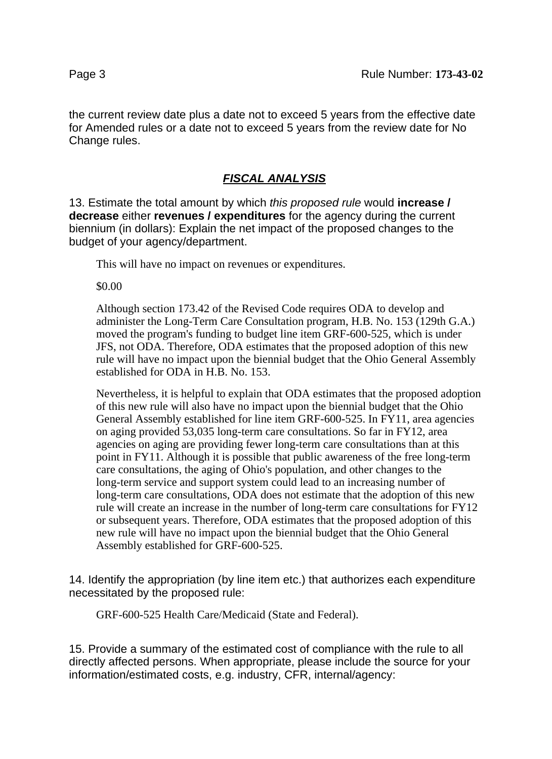the current review date plus a date not to exceed 5 years from the effective date for Amended rules or a date not to exceed 5 years from the review date for No Change rules.

## **FISCAL ANALYSIS**

13. Estimate the total amount by which this proposed rule would **increase / decrease** either **revenues / expenditures** for the agency during the current biennium (in dollars): Explain the net impact of the proposed changes to the budget of your agency/department.

This will have no impact on revenues or expenditures.

\$0.00

Although section 173.42 of the Revised Code requires ODA to develop and administer the Long-Term Care Consultation program, H.B. No. 153 (129th G.A.) moved the program's funding to budget line item GRF-600-525, which is under JFS, not ODA. Therefore, ODA estimates that the proposed adoption of this new rule will have no impact upon the biennial budget that the Ohio General Assembly established for ODA in H.B. No. 153.

Nevertheless, it is helpful to explain that ODA estimates that the proposed adoption of this new rule will also have no impact upon the biennial budget that the Ohio General Assembly established for line item GRF-600-525. In FY11, area agencies on aging provided 53,035 long-term care consultations. So far in FY12, area agencies on aging are providing fewer long-term care consultations than at this point in FY11. Although it is possible that public awareness of the free long-term care consultations, the aging of Ohio's population, and other changes to the long-term service and support system could lead to an increasing number of long-term care consultations, ODA does not estimate that the adoption of this new rule will create an increase in the number of long-term care consultations for FY12 or subsequent years. Therefore, ODA estimates that the proposed adoption of this new rule will have no impact upon the biennial budget that the Ohio General Assembly established for GRF-600-525.

14. Identify the appropriation (by line item etc.) that authorizes each expenditure necessitated by the proposed rule:

GRF-600-525 Health Care/Medicaid (State and Federal).

15. Provide a summary of the estimated cost of compliance with the rule to all directly affected persons. When appropriate, please include the source for your information/estimated costs, e.g. industry, CFR, internal/agency: